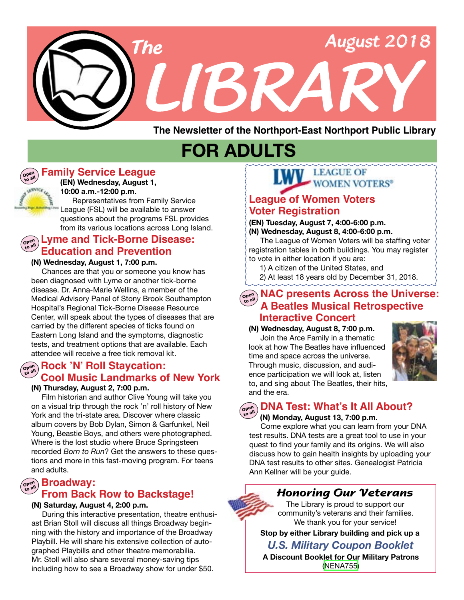

**FOR ADULTS**

#### **Family Service League**

**(EN) Wednesday, August 1, 10:00 a.m.-12:00 p.m.** Representatives from Family Service

League (FSL) will be available to answer questions about the programs FSL provides from its various locations across Long Island.

#### **Copen Lyme and Tick-Borne Disease:**<br> **The all property Disease: Education and Prevention**

**(N) Wednesday, August 1, 7:00 p.m.**

 Chances are that you or someone you know has been diagnosed with Lyme or another tick-borne disease. Dr. Anna-Marie Wellins, a member of the Medical Advisory Panel of Stony Brook Southampton Hospital's Regional Tick-Borne Disease Resource Center, will speak about the types of diseases that are carried by the different species of ticks found on Eastern Long Island and the symptoms, diagnostic tests, and treatment options that are available. Each attendee will receive a free tick removal kit.

#### **Rock 'N' Roll Staycation:**<br>———————————————————— **Cool Music Landmarks of New York**

#### **(N) Thursday, August 2, 7:00 p.m.**

 Film historian and author Clive Young will take you on a visual trip through the rock 'n' roll history of New York and the tri-state area. Discover where classic album covers by Bob Dylan, Simon & Garfunkel, Neil Young, Beastie Boys, and others were photographed. Where is the lost studio where Bruce Springsteen recorded *Born to Run*? Get the answers to these questions and more in this fast-moving program. For teens and adults.

#### $\left(\begin{array}{c}\n\text{open}\\
\text{total}\n\end{array}\right)$  **Broadway: From Back Row to Backstage!**

#### **(N) Saturday, August 4, 2:00 p.m.**

 During this interactive presentation, theatre enthusiast Brian Stoll will discuss all things Broadway beginning with the history and importance of the Broadway Playbill. He will share his extensive collection of autographed Playbills and other theatre memorabilia. Mr. Stoll will also share several money-saving tips including how to see a Broadway show for under \$50.

#### **LEAGUE OF WOMEN VOTERS®**

#### **League of Women Voters Voter Registration**

**(EN) Tuesday, August 7, 4:00-6:00 p.m.**

**(N) Wednesday, August 8, 4:00-6:00 p.m.**

The League of Women Voters will be staffing voter registration tables in both buildings. You may register to vote in either location if you are:

1) A citizen of the United States, and

2) At least 18 years old by December 31, 2018.

#### **NAC presents Across the Universe: Interactive Concert A Beatles Musical Retrospective**

**(N) Wednesday, August 8, 7:00 p.m.**

Join the Arce Family in a thematic look at how The Beatles have influenced time and space across the universe. Through music, discussion, and audience participation we will look at, listen to, and sing about The Beatles, their hits, and the era.



## $\frac{1}{2}$  **DNA Test: What's It All About?**

#### **(N) Monday, August 13, 7:00 p.m.**

 Come explore what you can learn from your DNA test results. DNA tests are a great tool to use in your quest to find your family and its origins. We will also discuss how to gain health insights by uploading your DNA test results to other sites. Genealogist Patricia Ann Kellner will be your guide.



#### *Honoring Our Veterans*

The Library is proud to support our community's veterans and their families. We thank you for your service!

**Stop by either Library building and pick up a**

**A Discount Booklet for Our Military Patrons** *U.S. Military Coupon Booklet*

[\(NENA755\)](https://search.livebrary.com/record%3Dg1083446~S43)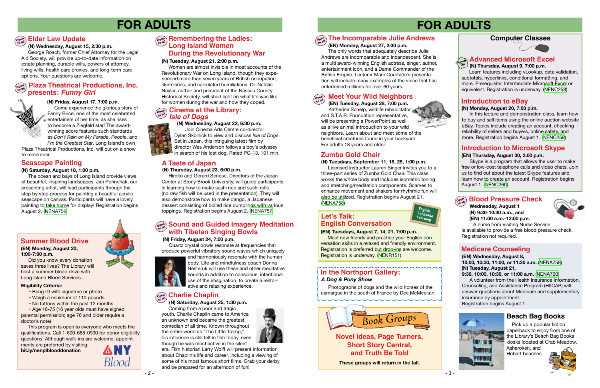- 3 -

#### **Computer Classes**



## **Advanced Microsoft Excel**<br>hands **An Thursday August 8, 7:00 p.m.**

# **FOR ADULTS FOR ADULTS**

## $\left(\begin{smallmatrix} \mathsf{open} \ \mathsf{cell} \ \mathsf{to} \ \mathsf{all} \end{smallmatrix}\right)$  **Elder Law Update**



#### **Introduction to Microsoft Skype**

#### **(EN) Thursday, August 30, 2:00 p.m.**

Skype is a program that allows the user to make free or low-cost telephone calls and video chats. Join us to find out about the latest Skype features and learn how to create an account. Registration begins August 1. [\(NENC260\)](https://search.livebrary.com/record%3Dg1084215~S43)

#### **(N) Monday, August 20, 7:00 p.m.**

 In this lecture and demonstration class, learn how to buy and sell items using the online auction website eBay. Topics include creating an account, checking reliability of sellers and buyers, online safety, and more. Registration begins August 1. ([NENC259](https://search.livebrary.com/record%3Dg1011459~S43))

#### **Introduction to eBay**

#### **(N) Thursday, August 9, 7:00 p.m.**

Learn features including vLookup, data validation, subtotals, hyperlinks, conditional formatting, and more. Prerequisite: Intermediate Microsoft Excel or equivalent. Registration is underway. [\(NENC258\)](https://search.livebrary.com/record%3Dg1083595~S43)

#### **(N) Thursday, August 23, 6:00 p.m.**

Hiroko and Gerard Senese, Directors of the Japan Center at Stony Brook University, will guide participants in learning how to make sushi rice and sushi rolls (no raw fish will be used in the presentation). They will also demonstrate how to make dango, a Japanese dessert consisting of boiled rice dumplings with various toppings. Registration begins August 2. ([NENA757](https://search.livebrary.com/record%3Dg1083978~S43))

#### **(N) Saturday, August 18, 1:00 p.m.**

 The ocean and bays of Long Island provide views of beautiful, inspiring landscapes. Jan Porinchak, our presenting artist, will lead participants through the step by step process for painting a beautiful acrylic seascape on canvas. Participants will have a lovely painting to take home for display! Registration begins August 2. ([NENA756](https://search.livebrary.com/record%3Dg1083976~S43))

# **Summer Blood Drive**<br>(EN) Monday, August 20,



**These groups will return in the fall.**



#### **(N) Tuesday, August 21, 2:00 p.m.**

 Women are almost invisible in most accounts of the Revolutionary War on Long Island, though they experienced more than seven years of British occupation, skirmishes, and calculated humiliations. Dr. Natalie Naylor, author and president of the Nassau County Historical Society, will shed light on what life was like for women during the war and how they coped.

 **(N) Friday, August 17, 7:00 p.m.** Come experience the glorious story of Fanny Brice, one of the most celebrated entertainers of her time, as she rises to become a Ziegfeld star! The awardwinning score features such standards as *Don't Rain on My Parade*, *People*, and *I'm the Greatest Star*. Long Island's own

#### **Sound and Guided Imagery Meditation with Tibetan Singing Bowls**

Plaza Theatrical Productions, Inc. will put on a show to remember.

#### **Seascape Painting A Taste of Japan**

 **Wednesday, August 1 (N) 9:30-10:30 a.m., and (EN) 11:00 a.m.-12:00 p.m.** 



 A nurse from Visiting Nurse Service is available to provide a free blood pressure check. Registration not required.

#### **Open to all Blood Pressure Check**

**(EN) Wednesday, August 8, 10:00, 10:30, 11:00, or 11:30 a.m.** [\(NENA759](https://search.livebrary.com/record%3Dg1083986~S43))  **(N) Tuesday, August 21,**

**9:30, 10:00, 10:30, or 11:00 a.m.** ([NENA760\)](https://search.livebrary.com/record%3Dg1083987~S43) A volunteer from the Health Insurance Information, Counseling, and Assistance Program (HIICAP) will answer questions about Medicare and supplementary insurance by appointment. Registration begins August 1.



#### **Open to all Plaza Theatrical Productions, Inc. presents:** *Funny Girl*



#### **Remembering the Ladies: Open to all Long Island Women During the Revolutionary War**

 Did you know every donation saves three lives? The Library will host a summer blood drive with Long Island Blood Services.

#### **(N) Wednesday, August 15, 2:30 p.m.**

**(EN) Monday, August 20, <b>Medicare Counseling**<br> **1:00-7:00 p.m. Medicare Counseling 1:00-7:00 p.m. Medicare Counseling 1:00-7:00 p.m. Medicare Counseling Meet new friends and practice your English con**versation skills in a relaxed and friendly environment. Registration is preferred but drop-ins are welcome. Registration is underway. [\(NENR151](https://search.livebrary.com/record%3Dg1083358~S43))

George Roach, former Chief Attorney for the Legal Aid Society, will provide up-to-date information on estate planning, durable wills, powers of attorney, living wills, health care proxies, and long-term care options. Your questions are welcome.

#### **(N) Friday, August 24, 7:00 p.m.**

Quartz crystal bowls resonate at frequencies that



and harmoniously resonate with the human body. Life and mindfulness coach Donna Nesteruk will use these and other meditative sounds in addition to conscious, intentional use of the imagination, to create a restorative and relaxing experience.

## $\left(\begin{smallmatrix} \mathsf{open} \ \mathsf{open}\end{smallmatrix}\right)$  Charlie Chaplin

#### **(N) Wednesday, August 22, 6:30 p.m.**



#### **Cinema at the Library: Open to all** *Isle of Dogs*

 Join Cinema Arts Centre co-director Dylan Skolnick to view and discuss *Isle of Dogs*. Set in Japan, this intriguing latest film by director Wes Anderson follows a boy's odyssey in search of his lost dog. Rated PG-13. 101 min.

#### **Eligibility Criteria:**

- Bring ID with signature or photo
- Weigh a minimum of 110 pounds
- No tattoos within the past 12 months

 • Age 16-75 (16 year olds must have signed parental permission; age 76 and older require a doctor's note)

 This program is open to everyone who meets the qualifications. Call 1-800-688-0900 for donor eligibility questions. Although walk-ins are welcome, appoint-

ments are preferred by visiting: **bit.ly/nenplblooddonation**

 **(N) Saturday, August 25, 1:30 p.m.**

Coming from a poor and tragic youth, Charlie Chaplin came to America an unknown and became the greatest comedian of all time. Known throughout the entire world as "The Little Tramp," his influence is still felt in film today, even though he was most active in the silent

era. Film historian Larry Wolff will present information about Chaplin's life and career, including a viewing of some of his most famous short films. Grab your derby and be prepared for an afternoon of fun!

#### **Meet Your Wild Neighbors Open to all**

 **(EN) Tuesday, August 28, 7:00 p.m.** Katherine Schelp, wildlife rehabilitator and S.T.A.R. Foundation representative, will be presenting a PowerPoint as well as a live animal introduction to your wild neighbors. Learn about and meet some of the beneficial creatures found in your backyard. For adults 18 years and older.

#### **(EN) Monday, August 27, 2:00 p.m.**

## **The Incomparable Julie Andrews Open to all**

The only words that adequately describe Julie Andrews are incomparable and incandescent. She is a multi award-winning English actress, singer, author, entertainment icon, and a Dame Commander of the British Empire. Lecturer Marc Courtade's presentation will include many examples of the voice that has entertained millions for over 60 years.

**(N) Tuesdays, September 11, 18, 25, 1:00 p.m.** Licensed instructor Lauren Singer invites you to a three-part series of Zumba Gold Chair. This class works the whole body and includes isometric toning and stretching/meditation components. Scarves to enhance movement and shakers for rhythmic fun will also be utilized. Registration begins August 21. ([NENA758\)](https://search.livebrary.com/record%3Dg1083984~S43)

#### **Zumba Gold Chair**

**English Language Learning**

#### **Let's Talk: English Conversation**

#### **(EN) Tuesdays, August 7, 14, 21, 7:00 p.m.**

**Novel Ideas, Page Turners, Short Story Central, and Truth Be Told**

## **In the Northport Gallery:**

 Photographs of dogs and the wild horses of the camargue in the south of France by Dee McMeekan.

#### *A Dog & Pony Show*

 Pick up a popular fiction paperback to enjoy from one of the Library's Beach Bag Books kiosks located at Crab Meadow,

Asharoken, and Hobart beaches.



#### **Beach Bag Books**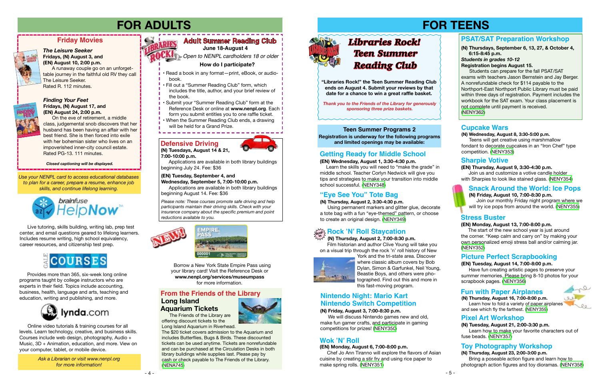*The Leisure Seeker* **Fridays, (N) August 3, and (EN) August 10, 2:00 p.m.**

A runaway couple go on an unforgettable journey in the faithful old RV they call The Leisure Seeker. Rated R. 112 minutes.



#### **Friday Movies**



#### *Finding Your Feet*

**Fridays, (N) August 17, and (EN) August 24, 2:00 p.m.** 

On the eve of retirement, a middle class, judgemental snob discovers that her husband has been having an affair with her best friend. She is then forced into exile with her bohemian sister who lives on an impoverished inner-city council estate. Rated PG-13. 111 minutes.

*Closed captioning will be displayed.*

# **FOR ADULTS FOR TEENS**

 Online video tutorials & training courses for all levels. Learn technology, creative, and business skills. Courses include web design, photography, Audio + Music, 3D + Animation, education, and more. View on your computer, tablet, or mobile device.

 Live tutoring, skills building, writing lab, prep test center, and email questions geared to lifelong learners. Includes resume writing, high school equivalency, career resources, and citizenship test prep.



- Read a book in any format—print, eBook, or audiobook.
- Fill out a "Summer Reading Club" form, which
- includes the title, author, and your brief review of the book.
- Submit your "Summer Reading Club" form at the
- Reference Desk or online at **www.nenpl.org**. Each
- form you submit entitles you to one raffle ticket. When the Summer Reading Club ends, a drawing
- will be held for a Grand Prize.

#### **Defensive Driving**

*Please note: These courses promote safe driving and help participants maintain their driving skills. Check with your insurance company about the specific premium and point reductions available to you.*





**(N) Tuesdays, August 14 & 21, 7:00-10:00 p.m.**



Applications are available in both library buildings beginning July 24. Fee: \$36

**(EN) Tuesday, September 4, and Wednesday, September 5, 7:00-10:00 p.m.**

Applications are available in both library buildings beginning August 14. Fee: \$36

*Thank you to the Friends of the Library for generously sponsoring three prize baskets.*

**"Libraries Rock!" the Teen Summer Reading Club ends on August 4. Submit your reviews by that date for a chance to win a great raffle basket.**

#### **Teen Summer Programs 2**

**Registration is underway for the following programs and limited openings may be available:**

*Use your NENPL card to access educational databases to plan for a career, prepare a resume, enhance job skills, and continue lifelong learning.*



#### $\frac{1}{\rm deg}$ ર્ $\frac{1}{\rm SO}$  Rock 'N' Roll Staycation **in**

*Ask a Librarian or visit www.nenpl.org for more information!*



# **Adult Summer Reading Club**<br>June 18-August 4

The start of the new school year is just around the corner. "Keep calm and carry on" by making your own personalized emoji stress ball and/or calming jar. [\(NENY352\)](https://search.livebrary.com/record%3Dg1082603~S43)

 Join our monthly Friday night program where we will try ice pops from around the world. [\(NENY355\)](https://search.livebrary.com/record%3Dg1082609~S43)

 *Open to NENPL cardholders 18 or older*

#### **How do I participate?**

#### **(N) Thursday, August 2, 3:30-4:30 p.m.**

The Friends of the Library are offering discount tickets to the Long Island Aquarium in Riverhead.



 Using permanent markers and glitter glue, decorate a tote bag with a fun "eye-themed" pattern, or choose to create an original design. [\(NENY349\)](https://search.livebrary.com/record%3Dg1082586~S43)

#### **"Eye See You" Tote Bag**

#### **(EN) Wednesday, August 1, 3:30-4:30 p.m.**

 Learn the skills you will need to "make the grade" in middle school. Teacher Corlyn Nedwick will give you tips and strategies to make your transition into middle school successful. ([NENY348](https://search.livebrary.com/record%3Dg1082585~S43))

#### **Getting Ready for Middle School**

#### **(N) Thursday, August 2, 7:00-8:30 p.m.**

# **Teen Summer** *Reading Club*

 Film historian and author Clive Young will take you on a visual trip through the rock 'n' roll history of New



York and the tri-state area. Discover where classic album covers by Bob Dylan, Simon & Garfunkel, Neil Young, Beastie Boys, and others were photographed. Find out this and more in this fast-moving program.

#### **(N) Friday, August 3, 7:00-8:30 p.m.**

We will discuss Nintendo games new and old, make fun gamer crafts, and participate in gaming competitions for prizes! ([NENY350](https://search.livebrary.com/record%3Dg1082601~S43))

#### **Wok 'N' Roll**

#### **(EN) Thursday, August 9, 3:30-4:30 p.m.**

 Join us and customize a votive candle holder with Sharpies to look like stained glass. [\(NENY354\)](https://search.livebrary.com/record%3Dg1082605~S43)

#### **Sharpie Votive**

#### **(N) Wednesday, August 8, 3:30-5:00 p.m.**

 Teens will get creative using marshmallow fondant to decorate cupcakes in an "Iron Chef" type competition. ([NENY353](https://search.livebrary.com/record%3Dg1082604~S43))

#### **Cupcake Wars**

#### **(EN) Monday, August 6, 7:00-8:00 p.m.**

Chef Jo Ann Tiranno will explore the flavors of Asian cuisine by creating a stir fry and using rice paper to make spring rolls. ([NENY351](https://search.livebrary.com/record%3Dg1082602~S43))



## *Libraries Rock!* **PSAT/SAT Preparation Workshop**

#### **(EN) Tuesday, August 14, 7:00-8:00 p.m.**

 Have fun creating artistic pages to preserve your summer memories. Please bring 8-10 photos for your scrapbook pages. ([NENY356\)](https://search.livebrary.com/record%3Dg1082618~S43)

#### **Picture Perfect Scrapbooking**

#### **Stress Buster**

#### **(EN) Monday, August 13, 7:00-8:00 p.m.**

#### **Nintendo Night: Mario Kart Nintendo Switch Competition**

#### **(N) Friday, August 10, 7:00-8:30 p.m. Snack Around the World: Ice Pops**

**(N) Thursday, August 16, 7:00-8:00 p.m.** Learn how to fold a variety of paper airplanes and see which fly the farthest. ([NENY359](https://search.livebrary.com/record%3Dg1083123~S43))

#### **Fun with Paper Airplanes**

#### **(N) Tuesday, August 21, 2:00-3:30 p.m.**

 Learn how to make your favorite characters out of fuse beads. ([NENY357](https://search.livebrary.com/record%3Dg1082630~S43))

#### **Pixel Art Workshop**

**(N) Thursday, August 23, 2:00-3:00 p.m.**

 Bring a poseable action figure and learn how to photograph action figures and toy dioramas. ([NENY358](https://search.livebrary.com/record%3Dg1082632~S43))

#### **Toy Photography Workshop**

The \$20 ticket covers admission to the Aquarium and includes Butterflies, Bugs & Birds. These discounted tickets can be used anytime. Tickets are nonrefundable and can be purchased at the Circulation Desks in both library buildings while supplies last. Please pay by cash or check payable to The Friends of the Library. [\(NENA745\)](https://search.livebrary.com/record%3Dg1081926~S43)



#### **From the Friends of the Library Long Island**

## **Aquarium Tickets**

**(N) Thursdays, September 6, 13, 27, & October 4, 6:15-8:45 p.m.**

*Students in grades 10-12* 

**Registration begins August 15.**

 Students can prepare for the fall PSAT/SAT exams with teachers Jason Bernstein and Jay Berger. A nonrefundable check for \$114 payable to the Northport-East Northport Public Library must be paid within three days of registration. Payment includes the workbook for the SAT exam. Your class placement is not complete until payment is received. [\(NENY362](https://search.livebrary.com/record%3Dg1084098~S43))

Borrow a New York State Empire Pass using your library card! Visit the Reference Desk or **www.nenpl.org/services/museumpass** for more information.

 Provides more than 365, six-week long online programs taught by college instructors who are experts in their field. Topics include accounting, business, health, language and arts, teaching and education, writing and publishing, and more.

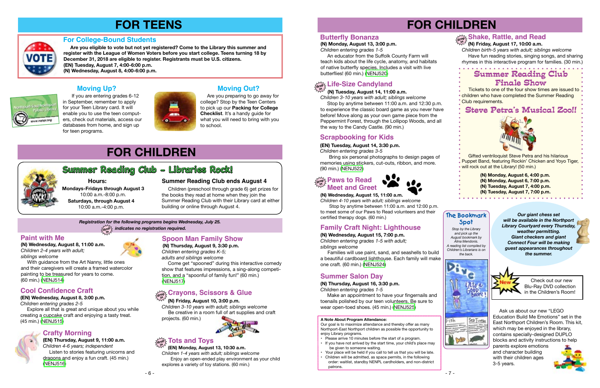Fish

Sea Turtle

# **FOR CHILDREN**



# **FOR TEENS**



Are you preparing to go away for college? Stop by the Teen Centers to pick up our **Packing for College Checklist**. It's a handy guide for what you will need to bring with you to school.

If you are entering grades 6-12 in September, remember to apply for your Teen Library card. It will enable you to use the teen computers, check out materials, access our databases from home, and sign up for teen programs.



#### **Moving Up?**



# **FOR CHILDREN**



#### **A Note About Program Attendance:**

Our goal is to maximize attendance and thereby offer as many Northport-East Northport children as possible the opportunity to enjoy Library programs.

With guidance from the Art Nanny, little ones and their caregivers will create a framed watercolor painting to be treasured for years to come. (60 min.) [\(NENJ514](https://search.livebrary.com/record%3Dg1081471~S43))

- Please arrive 10 minutes before the start of a program.
- If you have not arrived by the start time, your child's place may be given to someone waiting.
- Your place will be held if you call to tell us that you will be late. • Children will be admitted, as space permits, in the following order: waitlist, standby NENPL cardholders, and non-district patrons.

Explore all that is great and unique about you while creating a cupcake craft and enjoying a tasty treat. (45 min.) [\(NENJ515\)](https://search.livebrary.com/record%3Dg1081661~S43)

Come get "spooned" during this interactive comedy show that features impressions, a sing-along competition, and a "spoonful of family fun!" (60 min.) ([NENJ517](https://search.livebrary.com/record%3Dg1081472~S43))

#### r<sup>var</sup>z Crayons, Scissors & Glue

 **Are you eligible to vote but not yet registered? Come to the Library this summer and register with the League of Women Voters before you start college. Teens turning 18 by December 31, 2018 are eligible to register. Registrants must be U.S. citizens. (EN) Tuesday, August 7, 4:00-6:00 p.m.**

**(N) Wednesday, August 8, 4:00-6:00 p.m.**

#### **For College-Bound Students**

**(N) Wednesday, August 8, 11:00 a.m.** *Children 2-4 years with adult; siblings welcome*



An educator from the Suffolk County Farm will teach kids about the life cycle, anatomy, and habitats of native butterfly species. Includes a visit with live butterflies! (60 min.) ([NENJ520](https://search.livebrary.com/record%3Dg1081474~S43))

## **drop E**<br>and **Life-Size Candyland**

Stop by anytime between 11:00 a.m. and 12:30 p.m. to experience the classic board game as you never have before! Move along as your own game piece from the Peppermint Forest, through the Lollipop Woods, and all the way to the Candy Castle. (90 min.)

#### **Paint with Me**

#### **(EN) Wednesday, August 8, 3:00 p.m.** *Children entering grades 2-5*

#### **Cool Confidence Craft**

#### **drop<sup>2</sup> Paws to Read Meet and Greet**



#### **(EN) Thursday, August 9, 11:00 a.m.**

*Children 4-6 years; independent* Listen to stories featuring unicorns and dragons and enjoy a fun craft. (45 min.) [\(NENJ516\)](https://search.livebrary.com/record%3Dg1081662~S43)

Families will use paint, sand, and seashells to build a beautiful cardboard lighthouse. Each family will make one craft. (60 min.) ([NENJ524\)](https://search.livebrary.com/record%3Dg1081478~S43)

# **Crafty Morning**

#### **(N) Thursday, August 9, 3:30 p.m.**

*Children entering grades K-5; adults and siblings welcome*

> Make an appointment to have your fingernails and toenails polished by our teen volunteers. Be sure to wear open-toed shoes. (45 min.) [\(NENJ525\)](https://search.livebrary.com/record%3Dg1081479~S43)

#### **Spoon Man Family Show**

*Children 3-10 years with adult; siblings welcome* Be creative in a room full of art supplies and craft projects. (60 min.)



# **Summer Reading Club - Libraries Rock!**

**Mondays-Fridays through August 3** 10:00 a.m.-8:00 p.m. **Saturdays, through August 4** 10:00 a.m.-4:00 p.m.

#### **(N) Friday, August 10, 3:00 p.m. in**

#### **Hours: Summer Reading Club ends August 4**

 Children (preschool through grade 6) get prizes for the books they read at home when they join the Summer Reading Club with their Library card at either building or online through August 4.

 **(EN) Monday, August 13, 10:30 a.m.**

#### **drop in Tots and Toys**

*Children 1-4 years with adult; siblings welcome* Enjoy an open-ended play environment as your child explores a variety of toy stations. (60 min.)

#### **(N) Monday, August 13, 3:00 p.m.**

*Children entering grades 1-5*

#### **Butterfly Bonanza**

#### **(N) Tuesday, August 14, 11:00 a.m.**

*Children 3-10 years with adult; siblings welcome*

#### **(EN) Tuesday, August 14, 3:30 p.m.**

*Children entering grades 3-5*

Bring six personal photographs to design pages of memories using stickers, cut-outs, ribbon, and more. (90 min.) ([NENJ522](https://search.livebrary.com/record%3Dg1081668~S43))

#### **Scrapbooking for Kids**

#### **(N) Wednesday, August 15, 11:00 a.m.**

*Children 4-10 years with adult; siblings welcome* Stop by anytime between 11:00 a.m. and 12:00 p.m. to meet some of our Paws to Read volunteers and their certified therapy dogs. (60 min.)

#### **(N) Wednesday, August 15, 7:00 p.m.**

*Children entering grades 1-5 with adult; siblings welcome* 

#### **Family Craft Night: Lighthouse**

**(N) Thursday, August 16, 3:30 p.m.**

*Children entering grades 1-5*

#### **Summer Salon Day**



 Ask us about our new "LEGO Education Build Me Emotions" set in the East Northport Children's Room. This kit, which may be enjoyed in the library, contains specially-designed DUPLO blocks and activity instructions to help parents explore emotions and character building with their children ages 3-5 years.

### **Moving Out?**